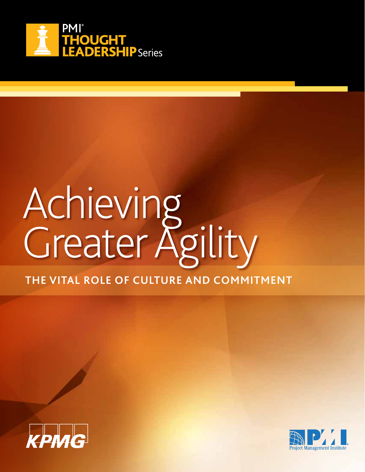

# Achieving Greater Agility **THE VITAL ROLE OF CULTURE AND COMMITMENT**



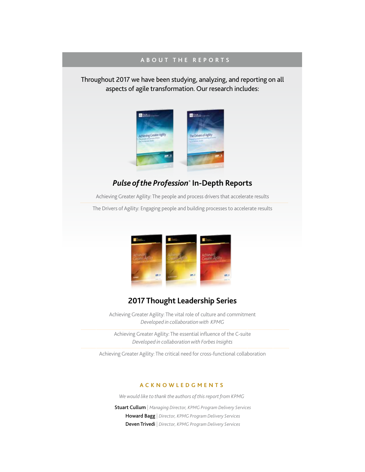### **ABOUT THE REPORTS**

Throughout 2017 we have been studying, analyzing, and reporting on all aspects of agile transformation. Our research includes:



### *Pulse of the Profession®*  **In-Depth Reports**

Achieving Greater Agility: The people and process drivers that accelerate results

The Drivers of Agility: Engaging people and building processes to accelerate results



### **2017 Thought Leadership Series**

Achieving Greater Agility: The vital role of culture and commitment *Developed in collaboration with KPMG*

Achieving Greater Agility: The essential influence of the C-suite *Developed in collaboration with Forbes Insights*

Achieving Greater Agility: The critical need for cross-functional collaboration

#### **ACKNOWLEDGMENTS**

*We would like to thank the authors of this report from KPMG*

Stuart Cullum | *Managing Director, KPMG Program Delivery Services* Howard Bagg | *Director, KPMG Program Delivery Services* Deven Trivedi | *Director, KPMG Program Delivery Services*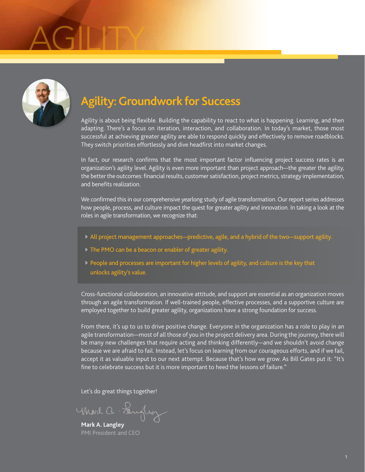# AGILITY



### **Agility: Groundwork for Success**

Agility is about being flexible. Building the capability to react to what is happening. Learning, and then adapting. There's a focus on iteration, interaction, and collaboration. In today's market, those most successful at achieving greater agility are able to respond quickly and effectively to remove roadblocks. They switch priorities effortlessly and dive headfirst into market changes.

In fact, our research confirms that the most important factor influencing project success rates is an organization's agility level. Agility is even more important than project approach—the greater the agility, the better the outcomes: financial results, customer satisfaction, project metrics, strategy implementation, and benefits realization.

We confirmed this in our comprehensive yearlong study of agile transformation. Our report series addresses how people, process, and culture impact the quest for greater agility and innovation. In taking a look at the roles in agile transformation, we recognize that:

- All project management approaches—predictive, agile, and a hybrid of the two—support agility.
- ▶ The PMO can be a beacon or enabler of greater agility.
- People and processes are important for higher levels of agility, and culture is the key that unlocks agility's value.

Cross-functional collaboration, an innovative attitude, and support are essential as an organization moves through an agile transformation. If well-trained people, effective processes, and a supportive culture are employed together to build greater agility, organizations have a strong foundation for success.

From there, it's up to us to drive positive change. Everyone in the organization has a role to play in an agile transformation—most of all those of you in the project delivery area. During the journey, there will be many new challenges that require acting and thinking differently—and we shouldn't avoid change because we are afraid to fail. Instead, let's focus on learning from our courageous efforts, and if we fail, accept it as valuable input to our next attempt. Because that's how we grow. As Bill Gates put it: "It's fine to celebrate success but it is more important to heed the lessons of failure."

Let's do great things together!

Mood a Sangley

**Mark A. Langley** PMI President and CEO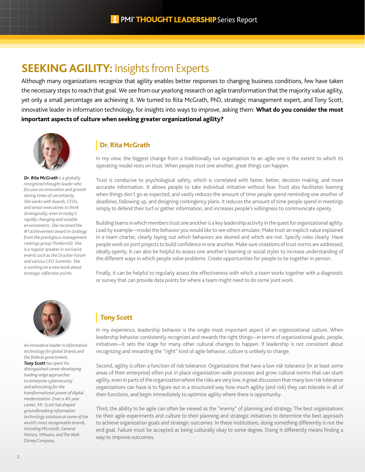### **SEEKING AGILITY:** Insights from Experts

Although many organizations recognize that agility enables better responses to changing business conditions, few have taken the necessary steps to reach that goal. We see from our yearlong research on agile transformation that the majority value agility, yet only a small percentage are achieving it. We turned to Rita McGrath, PhD, strategic management expert, and Tony Scott, innovative leader in information technology, for insights into ways to improve, asking them: **What do you consider the most important aspects of culture when seeking greater organizational agility?**



*Dr. Rita McGrath is a globally recognized thought leader who focuses on innovation and growth during times of uncertainty. She works with boards, CEOs, and senior executives to think strategically, even in today's rapidly changing and volatile environments. She received the #1 achievement award in strategy from the prestigious management rankings group Thinkers50. She is a regular speaker in exclusive events such as the Drucker Forum and various CEO Summits. She is working on a new book about strategic inflection points.*

### **Dr. Rita McGrath**

In my view, the biggest change from a traditionally run organization to an agile one is the extent to which its operating model rests on trust. When people trust one another, great things can happen.

Trust is conducive to psychological safety, which is correlated with faster, better, decision making, and more accurate information. It allows people to take individual initiative without fear. Trust also facilitates learning when things don't go as expected; and vastly reduces the amount of time people spend reminding one another of deadlines, following up, and designing contingency plans. It reduces the amount of time people spend in meetings simply to defend their turf or gather information, and increases people's willingness to communicate openly.

Building teams in which members trust one another is a key leadership activity in the quest for organizational agility. Lead by example—model the behavior you would like to see others emulate. Make trust an explicit value explained in a team charter, clearly laying out which behaviors are desired and which are not. Specify roles clearly. Have people work on joint projects to build confidence in one another. Make sure violations of trust norms are addressed, ideally openly. It can also be helpful to assess one another's learning or social styles to increase understanding of the different ways in which people solve problems. Create opportunities for people to be together in person.

Finally, it can be helpful to regularly assess the effectiveness with which a team works together with a diagnostic or survey that can provide data points for where a team might need to do some joint work.



*An innovative leader in information technology for global brands and the federal government, Tony Scott has spent his distinguished career developing leading-edge approaches to enterprise cybersecurity and advocating for the transformational power of digital modernization. Over a 40-year career, Mr. Scott has shaped groundbreaking information technology solutions at some of the world's most recognizable brands, including Microsoft, General Motors, VMware, and The Walt Disney Company.*

### **Tony Scott**

In my experience, leadership behavior is the single most important aspect of an organizational culture. When leadership behavior consistently recognizes and rewards the right things—in terms of organizational goals, people, initiatives—it sets the stage for many other cultural changes to happen. If leadership is not consistent about recognizing and rewarding the "right" kind of agile behavior, culture is unlikely to change.

Second, agility is often a function of risk tolerance. Organizations that have a low risk tolerance (in at least some areas of their enterprise) often put in place organization-wide processes and grow cultural norms that can stunt agility, even in parts of the organization where the risks are very low. A great discussion that many low risk tolerance organizations can have is to figure out in a structured way how much agility (and risk) they can tolerate in all of their functions, and begin immediately to optimize agility where there is opportunity.

Third, the ability to be agile can often be viewed as the "enemy" of planning and strategy. The best organizations tie their agile experiments and culture to their planning and strategic initiatives to determine the best approach to achieve organization goals and strategic outcomes. In these institutions, doing something differently is not the end goal. Failure must be accepted as being culturally okay to some degree. Doing it differently means finding a way to improve outcomes.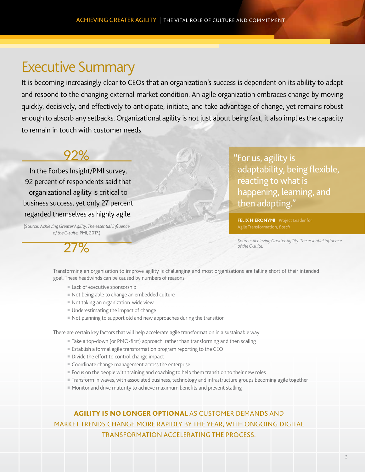## Executive Summary

It is becoming increasingly clear to CEOs that an organization's success is dependent on its ability to adapt and respond to the changing external market condition. An agile organization embraces change by moving quickly, decisively, and effectively to anticipate, initiate, and take advantage of change, yet remains robust enough to absorb any setbacks. Organizational agility is not just about being fast, it also implies the capacity to remain in touch with customer needs.

### 92%

In the Forbes Insight/PMI survey, 92 percent of respondents said that organizational agility is critical to business success, yet only 27 percent regarded themselves as highly agile.

(Source: *Achieving Greater Agility: The essential influence of the C-suite,* PMI, 2017.)

 $27%$ 

"For us, agility is adaptability, being flexible, reacting to what is happening, learning, and then adapting."

**FELIX HIERONYMI** | Project Leader for

*Source: Achieving Greater Agility: The essential influence of the C-suite.*

Transforming an organization to improve agility is challenging and most organizations are falling short of their intended goal. These headwinds can be caused by numbers of reasons:

- $\blacksquare$  Lack of executive sponsorship
- $\blacksquare$  Not being able to change an embedded culture
- $\blacksquare$  Not taking an organization-wide view
- $\blacksquare$  Underestimating the impact of change
- $\blacksquare$  Not planning to support old and new approaches during the transition

There are certain key factors that will help accelerate agile transformation in a sustainable way:

- Take a top-down (or PMO-first) approach, rather than transforming and then scaling
- $\blacksquare$  Establish a formal agile transformation program reporting to the CEO
- $\blacksquare$  Divide the effort to control change impact
- $\blacksquare$  Coordinate change management across the enterprise
- $\blacksquare$  Focus on the people with training and coaching to help them transition to their new roles
- Transform in waves, with associated business, technology and infrastructure groups becoming agile together
- $\blacksquare$  Monitor and drive maturity to achieve maximum benefits and prevent stalling

AGILITY IS NO LONGER OPTIONAL AS CUSTOMER DEMANDS AND MARKET TRENDS CHANGE MORE RAPIDLY BY THE YEAR, WITH ONGOING DIGITAL TRANSFORMATION ACCELERATING THE PROCESS.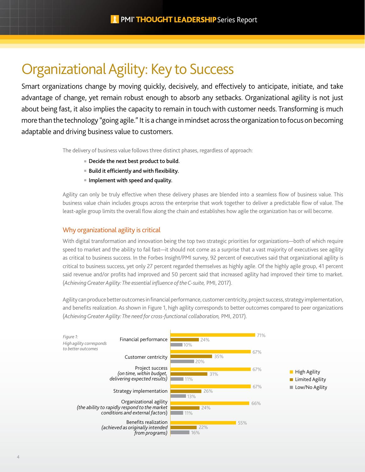# Organizational Agility: Key to Success

Smart organizations change by moving quickly, decisively, and effectively to anticipate, initiate, and take advantage of change, yet remain robust enough to absorb any setbacks. Organizational agility is not just about being fast, it also implies the capacity to remain in touch with customer needs. Transforming is much more than the technology "going agile." It is a change in mindset across the organization to focus on becoming adaptable and driving business value to customers.

The delivery of business value follows three distinct phases, regardless of approach:

- $\blacksquare$  Decide the next best product to build.
- **Build it efficiently and with flexibility.**
- $\blacksquare$  Implement with speed and quality.

Agility can only be truly effective when these delivery phases are blended into a seamless flow of business value. This business value chain includes groups across the enterprise that work together to deliver a predictable flow of value. The least-agile group limits the overall flow along the chain and establishes how agile the organization has or will become.

### Why organizational agility is critical

With digital transformation and innovation being the top two strategic priorities for organizations—both of which require speed to market and the ability to fail fast—it should not come as a surprise that a vast majority of executives see agility as critical to business success. In the Forbes Insight/PMI survey, 92 percent of executives said that organizational agility is critical to business success, yet only 27 percent regarded themselves as highly agile. Of the highly agile group, 41 percent said revenue and/or profits had improved and 50 percent said that increased agility had improved their time to market. (*Achieving Greater Agility: The essential influence of the C-suite,* PMI, 2017).

Agility can produce better outcomes in financial performance, customer centricity, project success, strategy implementation, and benefits realization. As shown in Figure 1, high agility corresponds to better outcomes compared to peer organizations (*Achieving Greater Agility: The need for cross-functional collaboration,* PMI, 2017).

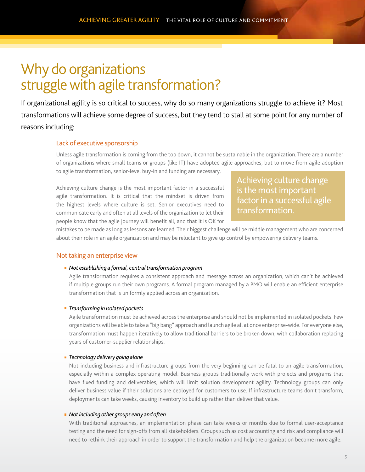# Why do organizations struggle with agile transformation?

If organizational agility is so critical to success, why do so many organizations struggle to achieve it? Most transformations will achieve some degree of success, but they tend to stall at some point for any number of reasons including:

### Lack of executive sponsorship

Unless agile transformation is coming from the top down, it cannot be sustainable in the organization. There are a number of organizations where small teams or groups (like IT) have adopted agile approaches, but to move from agile adoption to agile transformation, senior-level buy-in and funding are necessary.

Achieving culture change is the most important factor in a successful agile transformation. It is critical that the mindset is driven from the highest levels where culture is set. Senior executives need to communicate early and often at all levels of the organization to let their people know that the agile journey will benefit all, and that it is OK for Achieving culture change is the most important factor in a successful agile transformation.

mistakes to be made as long as lessons are learned. Their biggest challenge will be middle management who are concerned about their role in an agile organization and may be reluctant to give up control by empowering delivery teams.

### Not taking an enterprise view

#### *Not establishing a formal, central transformation program*

Agile transformation requires a consistent approach and message across an organization, which can't be achieved if multiple groups run their own programs. A formal program managed by a PMO will enable an efficient enterprise transformation that is uniformly applied across an organization.

#### *Transforming in isolated pockets*

Agile transformation must be achieved across the enterprise and should not be implemented in isolated pockets. Few organizations will be able to take a "big bang" approach and launch agile all at once enterprise-wide. For everyone else, transformation must happen iteratively to allow traditional barriers to be broken down, with collaboration replacing years of customer-supplier relationships.

#### *Technology delivery going alone*

Not including business and infrastructure groups from the very beginning can be fatal to an agile transformation, especially within a complex operating model. Business groups traditionally work with projects and programs that have fixed funding and deliverables, which will limit solution development agility. Technology groups can only deliver business value if their solutions are deployed for customers to use. If infrastructure teams don't transform, deployments can take weeks, causing inventory to build up rather than deliver that value.

#### *Not including other groups early and often*

With traditional approaches, an implementation phase can take weeks or months due to formal user-acceptance testing and the need for sign-offs from all stakeholders. Groups such as cost accounting and risk and compliance will need to rethink their approach in order to support the transformation and help the organization become more agile.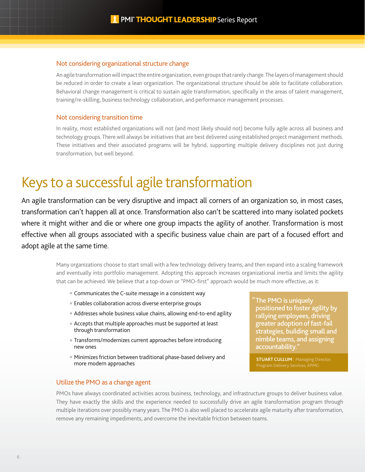### Not considering organizational structure change

An agile transformation will impact the entire organization, even groups that rarely change. The layers of management should be reduced in order to create a lean organization. The organizational structure should be able to facilitate collaboration. Behavioral change management is critical to sustain agile transformation, specifically in the areas of talent management, training/re-skilling, business technology collaboration, and performance management processes.

### Not considering transition time

In reality, most established organizations will not (and most likely should not) become fully agile across all business and technology groups. There will always be initiatives that are best delivered using established project management methods. These initiatives and their associated programs will be hybrid, supporting multiple delivery disciplines not just during transformation, but well beyond.

# Keys to a successful agile transformation

An agile transformation can be very disruptive and impact all corners of an organization so, in most cases, transformation can't happen all at once. Transformation also can't be scattered into many isolated pockets where it might wither and die or where one group impacts the agility of another. Transformation is most effective when all groups associated with a specific business value chain are part of a focused effort and adopt agile at the same time.

> Many organizations choose to start small with a few technology delivery teams, and then expand into a scaling framework and eventually into portfolio management. Adopting this approach increases organizational inertia and limits the agility that can be achieved. We believe that a top-down or "PMO-first" approach would be much more effective, as it:

- Communicates the C-suite message in a consistent way
- Enables collaboration across diverse enterprise groups
- Addresses whole business value chains, allowing end-to-end agility
- **Accepts that multiple approaches must be supported at least** through transformation
- **Transforms/modernizes current approaches before introducing** new ones
- Minimizes friction between traditional phase-based delivery and more modern approaches

### Utilize the PMO as a change agent

PMOs have always coordinated activities across business, technology, and infrastructure groups to deliver business value. They have exactly the skills and the experience needed to successfully drive an agile transformation program through multiple iterations over possibly many years. The PMO is also well placed to accelerate agile maturity after transformation, remove any remaining impediments, and overcome the inevitable friction between teams.

The PMO is uniquely " positioned to foster agility by rallying employees, driving greater adoption of fast-fail strategies, building small and nimble teams, and assigning accountability.

**STUART CULLUM** | Managing Director,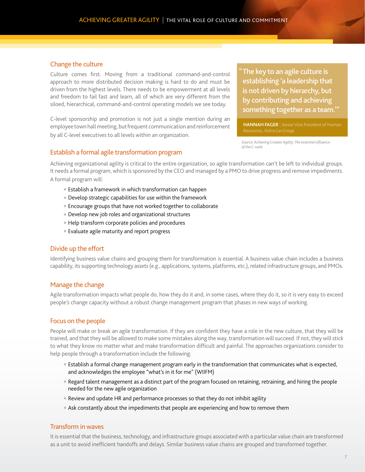### Change the culture

Culture comes first. Moving from a traditional command-and-control approach to more distributed decision making is hard to do and must be driven from the highest levels. There needs to be empowerment at all levels and freedom to fail fast and learn, all of which are very different from the siloed, hierarchical, command-and-control operating models we see today.

C-level sponsorship and promotion is not just a single mention during an employee town hall meeting, but frequent communication and reinforcement by all C-level executives to all levels within an organization.

The key to an agile culture is "establishing 'a leadership that is not driven by hierarchy, but by contributing and achieving something together as a team.'"

**HANNAH FAGER** | Senior Vice President of Human Resources, *Volvo Car Group*

*Source: Achieving Greater Agility: The essential influence of the C-suite*

### Establish a formal agile transformation program

Achieving organizational agility is critical to the entire organization, so agile transformation can't be left to individual groups. It needs a formal program, which is sponsored by the CEO and managed by a PMO to drive progress and remove impediments. A formal program will:

- $\blacksquare$  Establish a framework in which transformation can happen
- $\blacksquare$  Develop strategic capabilities for use within the framework
- Encourage groups that have not worked together to collaborate
- $\blacksquare$  Develop new job roles and organizational structures
- $\blacksquare$  Help transform corporate policies and procedures
- Evaluate agile maturity and report progress

### Divide up the effort

Identifying business value chains and grouping them for transformation is essential. A business value chain includes a business capability, its supporting technology assets (e.g., applications, systems, platforms, etc.), related infrastructure groups, and PMOs.

### Manage the change

Agile transformation impacts what people do, how they do it and, in some cases, where they do it, so it is very easy to exceed people's change capacity without a robust change management program that phases in new ways of working.

### Focus on the people

People will make or break an agile transformation. If they are confident they have a role in the new culture, that they will be trained, and that they will be allowed to make some mistakes along the way, transformation will succeed. If not, they will stick to what they know no matter what and make transformation difficult and painful. The approaches organizations consider to help people through a transformation include the following:

- **Examblish a formal change management program early in the transformation that communicates what is expected,** and acknowledges the employee "what's in it for me" (WIIFM)
- <sup>n</sup> Regard talent management as a distinct part of the program focused on retaining, retraining, and hiring the people needed for the new agile organization
- **Review and update HR and performance processes so that they do not inhibit agility**
- **Ask constantly about the impediments that people are experiencing and how to remove them**

### Transform in waves

It is essential that the business, technology, and infrastructure groups associated with a particular value chain are transformed as a unit to avoid inefficient handoffs and delays. Similar business value chains are grouped and transformed together.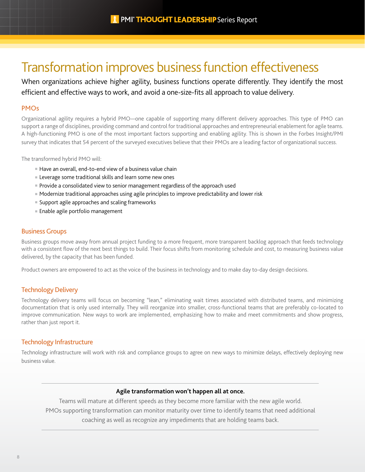## Transformation improves business function effectiveness

When organizations achieve higher agility, business functions operate differently. They identify the most efficient and effective ways to work, and avoid a one-size-fits all approach to value delivery.

### PMOs

Organizational agility requires a hybrid PMO—one capable of supporting many different delivery approaches. This type of PMO can support a range of disciplines, providing command and control for traditional approaches and entrepreneurial enablement for agile teams. A high-functioning PMO is one of the most important factors supporting and enabling agility. This is shown in the Forbes Insight/PMI survey that indicates that 54 percent of the surveyed executives believe that their PMOs are a leading factor of organizational success.

The transformed hybrid PMO will:

- Have an overall, end-to-end view of a business value chain
- **Exerchage some traditional skills and learn some new ones**
- **Provide a consolidated view to senior management regardless of the approach used**
- **Modernize traditional approaches using agile principles to improve predictability and lower risk**
- Support agile approaches and scaling frameworks
- Enable agile portfolio management

### Business Groups

Business groups move away from annual project funding to a more frequent, more transparent backlog approach that feeds technology with a consistent flow of the next best things to build. Their focus shifts from monitoring schedule and cost, to measuring business value delivered, by the capacity that has been funded.

Product owners are empowered to act as the voice of the business in technology and to make day to-day design decisions.

### Technology Delivery

Technology delivery teams will focus on becoming "lean," eliminating wait times associated with distributed teams, and minimizing documentation that is only used internally. They will reorganize into smaller, cross-functional teams that are preferably co-located to improve communication. New ways to work are implemented, emphasizing how to make and meet commitments and show progress, rather than just report it.

### Technology Infrastructure

Technology infrastructure will work with risk and compliance groups to agree on new ways to minimize delays, effectively deploying new business value.

### **Agile transformation won't happen all at once.**

Teams will mature at different speeds as they become more familiar with the new agile world.

PMOs supporting transformation can monitor maturity over time to identify teams that need additional

coaching as well as recognize any impediments that are holding teams back.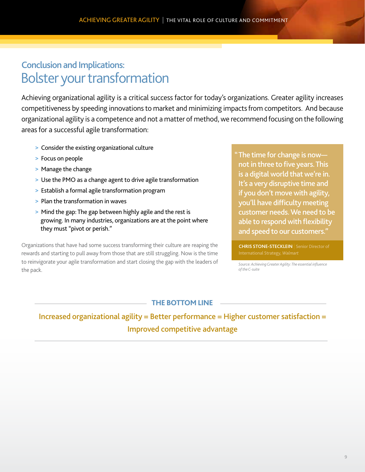### Bolster your transformation Conclusion and Implications:

Achieving organizational agility is a critical success factor for today's organizations. Greater agility increases competitiveness by speeding innovations to market and minimizing impacts from competitors. And because organizational agility is a competence and not a matter of method, we recommend focusing on the following areas for a successful agile transformation:

- > Consider the existing organizational culture
- > Focus on people
- > Manage the change
- > Use the PMO as a change agent to drive agile transformation
- > Establish a formal agile transformation program
- > Plan the transformation in waves
- > Mind the gap: The gap between highly agile and the rest is growing. In many industries, organizations are at the point where they must "pivot or perish."

Organizations that have had some success transforming their culture are reaping the rewards and starting to pull away from those that are still struggling. Now is the time to reinvigorate your agile transformation and start closing the gap with the leaders of the pack.

### The time for change is now— "

not in three to five years. This is a digital world that we're in. It's a very disruptive time and if you don't move with agility, you'll have difficulty meeting customer needs. We need to be able to respond with flexibility and speed to our customers."

**CHRIS STONE-STECKLEIN** | Senior Director of

*Source: Achieving Greater Agility: The essential influence of the C-suite*

### **THE BOTTOM LINE**

Increased organizational agility = Better performance = Higher customer satisfaction = Improved competitive advantage